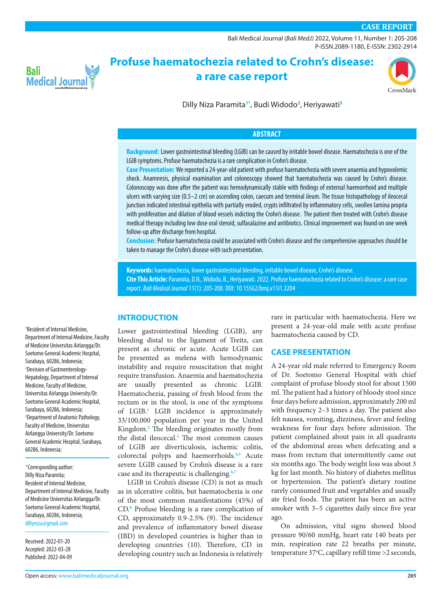### **CASE REPORT**

[Bali Medical Journal](http://www.balimedicaljournal.org/) (*Bali MedJ)* 2022, Volume 11, Number 1: 205-208 P-ISSN.2089-1180, E-ISSN: 2302-2914



# **Profuse haematochezia related to Crohn's disease: a rare case report**



Dilly Niza Paramita**[1](#page-0-0)[\\*](#page-0-1)** , Budi Widodo**[2](#page-0-2)** , Heriyawati**[3](#page-0-3)**

#### **ABSTRACT**

**Background:** Lower gastrointestinal bleeding (LGIB) can be caused by irritable bowel disease. Haematochezia is one of the LGIB symptoms. Profuse haematochezia is a rare complication in Crohn's disease.

**Case Presentation:** We reported a 24-year-old patient with profuse haematochezia with severe anaemia and hypovolemic shock. Anamnesis, physical examination and colonoscopy showed that haematochezia was caused by Crohn's disease. Colonoscopy was done after the patient was hemodynamically stable with findings of external haemorrhoid and multiple ulcers with varying size (0.5–2 cm) on ascending colon, caecum and terminal ileum. The tissue histopathology of ileocecal junction indicated intestinal epithelia with partially eroded, crypts infiltrated by inflammatory cells, swollen lamina propria with proliferation and dilation of blood vessels indicting the Crohn's disease. The patient then treated with Crohn's disease medical therapy including low dose oral steroid, sulfasalazine and antibiotics. Clinical improvement was found on one week follow-up after discharge from hospital.

**Conclusion:** Profuse haematochezia could be associated with Crohn's disease and the comprehensive approaches should be taken to manage the Crohn's disease with such presentation.

**Keywords:** haematochezia, lower gastrointestinal bleeding, irritable bowel disease, Crohn's disease. **Cite This Article:** Paramita, D.N., Widodo, B., Heriyawati. 2022. Profuse haematochezia related to Crohn's disease: a rare case report. *Bali Medical Journal* 11(1): 205-208. DOI: [10.15562/bmj.v11i1.3204](http://dx.doi.org/10.15562/bmj.v11i1.3204)

#### **INTRODUCTION**

<span id="page-0-2"></span><span id="page-0-0"></span>**1** Resident of Internal Medicine, Department of Internal Medicine, Faculty of Medicine Universitas Airlangga/Dr. Soetomo General Academic Hospital, Surabaya, 60286, Indonesia; **2** Devision of Gastroenterology-Hepatology, Department of Internal Medicine, Faculty of Medicine, Universitas Airlangga University/Dr. Soetomo General Academic Hospital, Surabaya, 60286, Indonesia; **3** Department of Anatomic Pathology, Faculty of Medicine, Universitas Airlangga University/Dr. Soetomo General Academic Hospital, Surabaya, Lower gastrointestinal bleeding (LGIB), any

<span id="page-0-1"></span>\*Corresponding author: Dilly Niza Paramita; Resident of Internal Medicine, Department of Internal Medicine, Faculty of Medicine Universitas Airlangga/Dr. Soetomo General Academic Hospital, Surabaya, 60286, Indonesia; [dillyniza@gmail.com](mailto:dillyniza%40gmail.com?subject=)

Received: 2022-01-20 Accepted: 2022-03-28 Published: 2022-04-09

<span id="page-0-3"></span>60286, Indonesia;

bleeding distal to the ligament of Treitz, can present as chronic or acute. Acute LGIB can be presented as melena with hemodynamic instability and require resuscitation that might require transfusion. Anaemia and haematochezia are usually presented as chronic LGIB. Haematochezia, passing of fresh blood from the rectum or in the stool, is one of the symptoms of LGIB.**[1](#page-3-0)** LGIB incidence is approximately 33/100,000 population per year in the United Kingdom.**[2](#page-3-1)** The bleeding originates mostly from the distal ileocecal.**[3](#page-3-2)** The most common causes of LGIB are diverticulosis, ischemic colitis, colorectal polyps and haemorrhoids.**[4](#page-3-3)[,5](#page-3-4)** Acute severe LGIB caused by Crohn's disease is a rare case and its therapeutic is challenging.**[6](#page-3-5),[7](#page-3-6)**

LGIB in Crohn's disease (CD) is not as much as in ulcerative colitis, but haematochezia is one of the most common manifestations (45%) of CD.**[8](#page-3-7)** Profuse bleeding is a rare complication of CD, approximately 0.9-2.5% (9). The incidence and prevalence of inflammatory bowel disease (IBD) in developed countries is higher than in developing countries (10). Therefore, CD in developing country such as Indonesia is relatively

rare in particular with haematochezia. Here we present a 24-year-old male with acute profuse haematochezia caused by CD.

### **CASE PRESENTATION**

A 24-year old male referred to Emergency Room of Dr. Soetomo General Hospital with chief complaint of profuse bloody stool for about 1500 ml. The patient had a history of bloody stool since four days before admission, approximately 200 ml with frequency 2–3 times a day. The patient also felt nausea, vomiting, dizziness, fever and feeling weakness for four days before admission. The patient complained about pain in all quadrants of the abdominal areas when defecating and a mass from rectum that intermittently came out six months ago. The body weight loss was about 3 kg for last month. No history of diabetes mellitus or hypertension. The patient's dietary routine rarely consumed fruit and vegetables and usually ate fried foods. The patient has been an active smoker with 3–5 cigarettes daily since five year ago.

On admission, vital signs showed blood pressure 90/60 mmHg, heart rate 140 beats per min, respiration rate 22 breaths per minute, temperature 37°C, capillary refill time >2 seconds,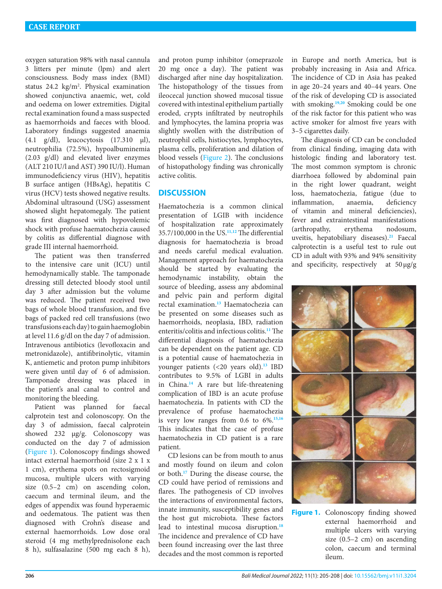oxygen saturation 98% with nasal cannula 3 litters per minute (lpm) and alert consciousness. Body mass index (BMI) status  $24.2 \text{ kg/m}^2$ . Physical examination showed conjunctiva anaemic, wet, cold and oedema on lower extremities. Digital rectal examination found a mass suspected as haemorrhoids and faeces with blood. Laboratory findings suggested anaemia (4.1 g/dl), leucocytosis (17.310 μl), neutrophilia (72.5%), hypoalbuminemia (2.03 g/dl) and elevated liver enzymes (ALT 210 IU/l and AST) 390 IU/l). Human immunodeficiency virus (HIV), hepatitis B surface antigen (HBsAg), hepatitis C virus (HCV) tests showed negative results. Abdominal ultrasound (USG) assessment showed slight hepatomegaly. The patient was first diagnosed with hypovolemic shock with profuse haematochezia caused by colitis as differential diagnose with grade III internal haemorrhoid.

The patient was then transferred to the intensive care unit (ICU) until hemodynamically stable. The tamponade dressing still detected bloody stool until day 3 after admission but the volume was reduced. The patient received two bags of whole blood transfusion, and five bags of packed red cell transfusions (two transfusions each day) to gain haemoglobin at level 11.6 g/dl on the day 7 of admission. Intravenous antibiotics (levofloxacin and metronidazole), antifibrinolytic, vitamin K, antiemetic and proton pump inhibitors were given until day of 6 of admission. Tamponade dressing was placed in the patient's anal canal to control and monitoring the bleeding.

Patient was planned for faecal calprotein test and colonoscopy. On the day 3 of admission, faecal calprotein showed 232 μg/g. Colonoscopy was conducted on the day 7 of admission [\(Figure 1](#page-1-0)). Colonoscopy findings showed intact external haemorrhoid (size 2 x 1 x 1 cm), erythema spots on rectosigmoid mucosa, multiple ulcers with varying size (0.5–2 cm) on ascending colon, caecum and terminal ileum, and the edges of appendix was found hyperaemic and oedematous. The patient was then diagnosed with Crohn's disease and external haemorrhoids. Low dose oral steroid (4 mg methylprednisolone each 8 h), sulfasalazine (500 mg each 8 h),

and proton pump inhibitor (omeprazole 20 mg once a day). The patient was discharged after nine day hospitalization. The histopathology of the tissues from ileocecal junction showed mucosal tissue covered with intestinal epithelium partially eroded, crypts infiltrated by neutrophils and lymphocytes, the lamina propria was slightly swollen with the distribution of neutrophil cells, histiocytes, lymphocytes, plasma cells, proliferation and dilation of blood vessels [\(Figure 2](#page-2-0)). The conclusions of histopathology finding was chronically active colitis.

## **DISCUSSION**

Haematochezia is a common clinical presentation of LGIB with incidence of hospitalization rate approximately 35.7/100,000 in the US.**[11](#page-3-8)[,12](#page-3-9)** The differential diagnosis for haematochezia is broad and needs careful medical evaluation. Management approach for haematochezia should be started by evaluating the hemodynamic instability, obtain the source of bleeding, assess any abdominal and pelvic pain and perform digital rectal examination.**[13](#page-3-10)** Haematochezia can be presented on some diseases such as haemorrhoids, neoplasia, IBD, radiation enteritis/colitis and infectious colitis.**[11](#page-3-8)** The differential diagnosis of haematochezia can be dependent on the patient age. CD is a potential cause of haematochezia in younger patients (<20 years old).**[13](#page-3-10)** IBD contributes to 9.5% of LGBI in adults in China.**[14](#page-3-11)** A rare but life-threatening complication of IBD is an acute profuse haematochezia. In patients with CD the prevalence of profuse haematochezia is very low ranges from 0.6 to 6%.**[15](#page-3-12),[16](#page-3-13)** This indicates that the case of profuse haematochezia in CD patient is a rare patient.

CD lesions can be from mouth to anus and mostly found on ileum and colon or both.**[17](#page-3-14)** During the disease course, the CD could have period of remissions and flares. The pathogenesis of CD involves the interactions of environmental factors, innate immunity, susceptibility genes and the host gut microbiota. These factors lead to intestinal mucosa disruption.**[18](#page-3-15)** The incidence and prevalence of CD have been found increasing over the last three decades and the most common is reported

in Europe and north America, but is probably increasing in Asia and Africa. The incidence of CD in Asia has peaked in age 20–24 years and 40–44 years. One of the risk of developing CD is associated with smoking.**[19](#page-3-16),[20](#page-3-17)** Smoking could be one of the risk factor for this patient who was active smoker for almost five years with 3–5 cigarettes daily.

The diagnosis of CD can be concluded from clinical finding, imaging data with histologic finding and laboratory test. The most common symptom is chronic diarrhoea followed by abdominal pain in the right lower quadrant, weight loss, haematochezia, fatigue (due to inflammation, anaemia, deficiency of vitamin and mineral deficiencies), fever and extraintestinal manifestations (arthropathy, erythema nodosum, uveitis, hepatobiliary diseases).**[21](#page-3-18)** Faecal calprotectin is a useful test to rule out CD in adult with 93% and 94% sensitivity and specificity, respectively at 50µg/g



<span id="page-1-0"></span>**Figure 1.** Colonoscopy finding showed external haemorrhoid and multiple ulcers with varying size (0.5–2 cm) on ascending colon, caecum and terminal ileum.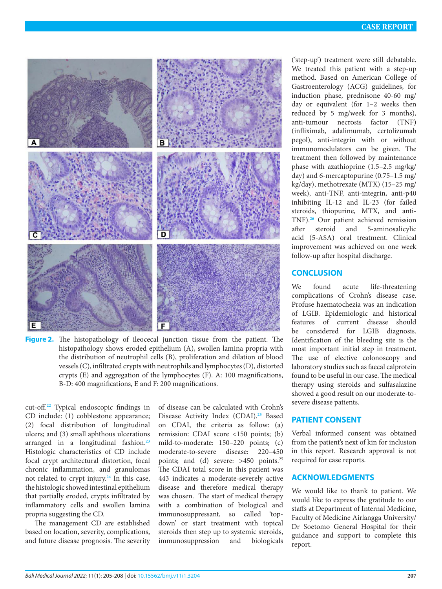

<span id="page-2-0"></span>

cut-off.**[22](#page-3-19)** Typical endoscopic findings in CD include: (1) cobblestone appearance; (2) focal distribution of longitudinal ulcers; and (3) small aphthous ulcerations arranged in a longitudinal fashion.**[23](#page-3-20)** Histologic characteristics of CD include focal crypt architectural distortion, focal chronic inflammation, and granulomas not related to crypt injury.**[24](#page-3-21)** In this case, the histologic showed intestinal epithelium that partially eroded, crypts infiltrated by inflammatory cells and swollen lamina propria suggesting the CD.

The management CD are established based on location, severity, complications, and future disease prognosis. The severity

of disease can be calculated with Crohn's Disease Activity Index (CDAI).**[25](#page-3-22)** Based on CDAI, the criteria as follow: (a) remission: CDAI score <150 points; (b) mild-to-moderate: 150–220 points; (c) moderate-to-severe disease: 220–450 points; and (d) severe: >450 points.<sup>25</sup> The CDAI total score in this patient was 443 indicates a moderate-severely active disease and therefore medical therapy was chosen. The start of medical therapy with a combination of biological and immunosuppressant, so called 'topdown' or start treatment with topical steroids then step up to systemic steroids, immunosuppression and biologicals ('step-up') treatment were still debatable. We treated this patient with a step-up method. Based on American College of Gastroenterology (ACG) guidelines, for induction phase, prednisone 40-60 mg/ day or equivalent (for 1–2 weeks then reduced by 5 mg/week for 3 months), anti-tumour necrosis factor (TNF) (infliximab, adalimumab, certolizumab pegol), anti-integrin with or without immunomodulators can be given. The treatment then followed by maintenance phase with azathioprine (1.5–2.5 mg/kg/ day) and 6-mercaptopurine (0.75–1.5 mg/ kg/day), methotrexate (MTX) (15–25 mg/ week), anti-TNF, anti-integrin, anti-p40 inhibiting IL-12 and IL-23 (for failed steroids, thiopurine, MTX, and anti-TNF).**[26](#page-3-23)** Our patient achieved remission after steroid and 5-aminosalicylic acid (5-ASA) oral treatment. Clinical improvement was achieved on one week follow-up after hospital discharge.

## **CONCLUSION**

We found acute life-threatening complications of Crohn's disease case. Profuse haematochezia was an indication of LGIB. Epidemiologic and historical features of current disease should be considered for LGIB diagnosis. Identification of the bleeding site is the most important initial step in treatment. The use of elective colonoscopy and laboratory studies such as faecal calprotein found to be useful in our case. The medical therapy using steroids and sulfasalazine showed a good result on our moderate-tosevere disease patients.

## **PATIENT CONSENT**

Verbal informed consent was obtained from the patient's next of kin for inclusion in this report. Research approval is not required for case reports.

## **ACKNOWLEDGMENTS**

We would like to thank to patient. We would like to express the gratitude to our staffs at Department of Internal Medicine, Faculty of Medicine Airlangga University/ Dr Soetomo General Hospital for their guidance and support to complete this report.